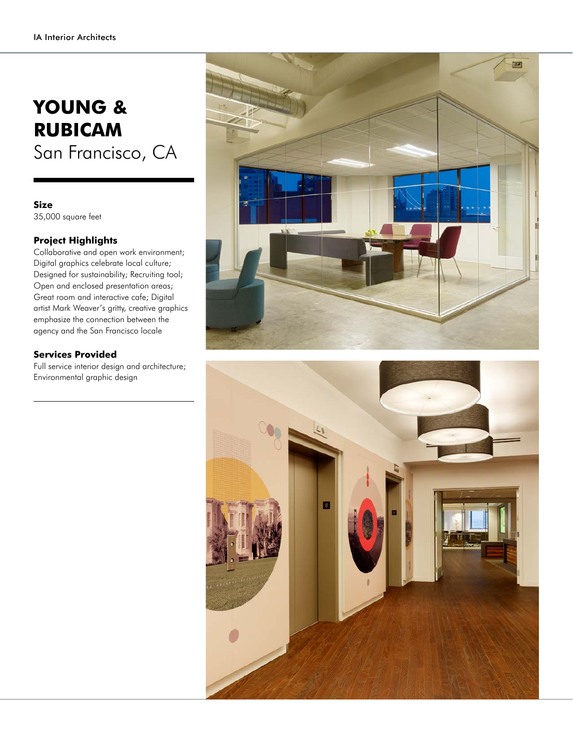## **YOUNG & RUBICAM** San Francisco, CA

**Size**

35,000 square feet

## **Project Highlights**

Collaborative and open work environment; Digital graphics celebrate local culture; Designed for sustainability; Recruiting tool; Open and enclosed presentation areas; Great room and interactive cafe; Digital artist Mark Weaver's gritty, creative graphics emphasize the connection between the agency and the San Francisco locale

## **Services Provided**

Full service interior design and architecture; Environmental graphic design